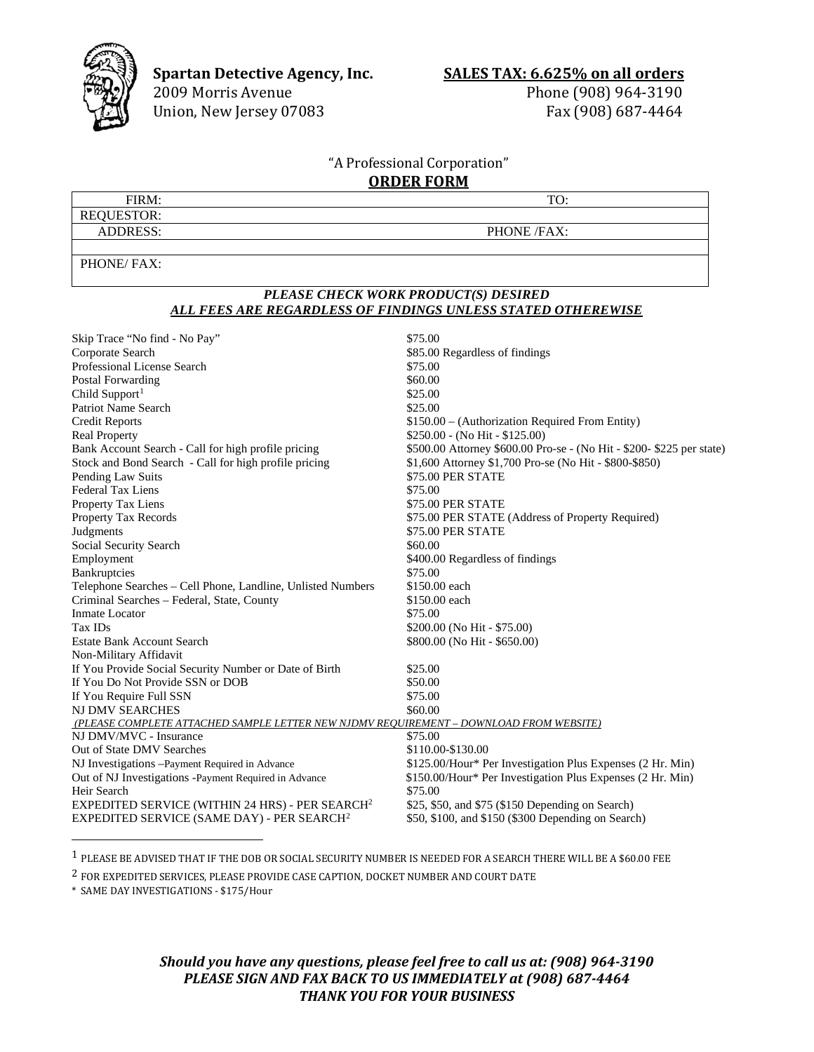

**Spartan Detective Agency, Inc. SALES TAX: 6.625% on all orders** 2009 Morris Avenue **phone** (908) 964-3190

Union, New Jersey 07083

Phone (908) 964-3190<br>Fax (908) 687-4464

## "A Professional Corporation" **ORDER FORM**

| FIRM:             | TO:         |
|-------------------|-------------|
| <b>REQUESTOR:</b> |             |
| <b>ADDRESS:</b>   | PHONE /FAX: |
|                   |             |

PHONE/ FAX:

## *PLEASE CHECK WORK PRODUCT(S) DESIRED ALL FEES ARE REGARDLESS OF FINDINGS UNLESS STATED OTHEREWISE*

| Skip Trace "No find - No Pay"                                                          | \$75.00                                                               |
|----------------------------------------------------------------------------------------|-----------------------------------------------------------------------|
| Corporate Search                                                                       | \$85.00 Regardless of findings                                        |
| Professional License Search                                                            | \$75.00                                                               |
| Postal Forwarding                                                                      | \$60.00                                                               |
| Child Support <sup>1</sup>                                                             | \$25.00                                                               |
| <b>Patriot Name Search</b>                                                             | \$25.00                                                               |
| <b>Credit Reports</b>                                                                  | \$150.00 – (Authorization Required From Entity)                       |
| <b>Real Property</b>                                                                   | $$250.00 - (No Hit - $125.00)$                                        |
| Bank Account Search - Call for high profile pricing                                    | \$500.00 Attorney \$600.00 Pro-se - (No Hit - \$200- \$225 per state) |
| Stock and Bond Search - Call for high profile pricing                                  | \$1,600 Attorney \$1,700 Pro-se (No Hit - \$800-\$850)                |
| Pending Law Suits                                                                      | \$75.00 PER STATE                                                     |
| <b>Federal Tax Liens</b>                                                               | \$75.00                                                               |
| Property Tax Liens                                                                     | \$75.00 PER STATE                                                     |
| Property Tax Records                                                                   | \$75.00 PER STATE (Address of Property Required)                      |
| Judgments                                                                              | \$75.00 PER STATE                                                     |
| Social Security Search                                                                 | \$60.00                                                               |
| Employment                                                                             | \$400.00 Regardless of findings                                       |
| Bankruptcies                                                                           | \$75.00                                                               |
| Telephone Searches - Cell Phone, Landline, Unlisted Numbers                            | \$150.00 each                                                         |
| Criminal Searches - Federal, State, County                                             | \$150.00 each                                                         |
| <b>Inmate Locator</b>                                                                  | \$75.00                                                               |
| Tax IDs                                                                                | \$200.00 (No Hit - \$75.00)                                           |
| <b>Estate Bank Account Search</b>                                                      | \$800.00 (No Hit - \$650.00)                                          |
| Non-Military Affidavit                                                                 |                                                                       |
| If You Provide Social Security Number or Date of Birth                                 | \$25.00                                                               |
| If You Do Not Provide SSN or DOB                                                       | \$50.00                                                               |
| If You Require Full SSN                                                                | \$75.00                                                               |
| NJ DMV SEARCHES                                                                        | \$60.00                                                               |
| (PLEASE COMPLETE ATTACHED SAMPLE LETTER NEW NJDMV REQUIREMENT - DOWNLOAD FROM WEBSITE) |                                                                       |
| NJ DMV/MVC - Insurance                                                                 | \$75.00                                                               |
| Out of State DMV Searches                                                              | \$110.00-\$130.00                                                     |
| NJ Investigations -Payment Required in Advance                                         | \$125.00/Hour* Per Investigation Plus Expenses (2 Hr. Min)            |
| Out of NJ Investigations -Payment Required in Advance                                  | \$150.00/Hour* Per Investigation Plus Expenses (2 Hr. Min)            |
| Heir Search                                                                            | \$75.00                                                               |
| EXPEDITED SERVICE (WITHIN 24 HRS) - PER SEARCH <sup>2</sup>                            | \$25, \$50, and \$75 (\$150 Depending on Search)                      |
| EXPEDITED SERVICE (SAME DAY) - PER SEARCH <sup>2</sup>                                 | \$50, \$100, and \$150 (\$300 Depending on Search)                    |
|                                                                                        |                                                                       |

<span id="page-0-0"></span>1 PLEASE BE ADVISED THAT IF THE DOB OR SOCIAL SECURITY NUMBER IS NEEDED FOR A SEARCH THERE WILL BE A \$60.00 FEE

<span id="page-0-1"></span>2 FOR EXPEDITED SERVICES, PLEASE PROVIDE CASE CAPTION, DOCKET NUMBER AND COURT DATE

\* SAME DAY INVESTIGATIONS - \$175/Hour

*Should you have any questions, please feel free to call us at: (908) 964-3190 PLEASE SIGN AND FAX BACK TO US IMMEDIATELY at (908) 687-4464 THANK YOU FOR YOUR BUSINESS*